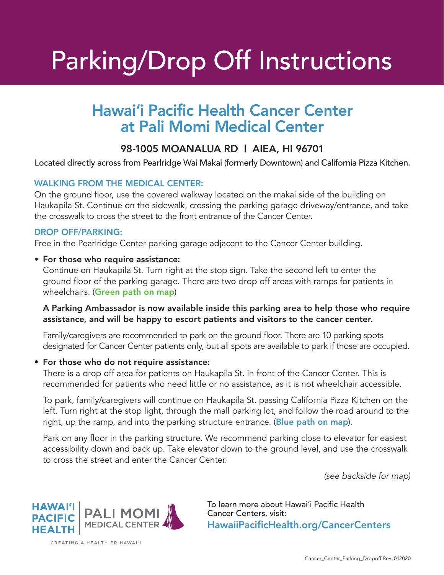# Parking/Drop Off Instructions

## Hawai'i Pacific Health Cancer Center at Pali Momi Medical Center

### 98-1005 MOANALUA RD | AIEA, HI 96701

Located directly across from Pearlridge Wai Makai (formerly Downtown) and California Pizza Kitchen.

#### WALKING FROM THE MEDICAL CENTER:

On the ground floor, use the covered walkway located on the makai side of the building on Haukapila St. Continue on the sidewalk, crossing the parking garage driveway/entrance, and take the crosswalk to cross the street to the front entrance of the Cancer Center.

#### DROP OFF/PARKING:

Free in the Pearlridge Center parking garage adjacent to the Cancer Center building.

#### • For those who require assistance:

 Continue on Haukapila St. Turn right at the stop sign. Take the second left to enter the ground floor of the parking garage. There are two drop off areas with ramps for patients in wheelchairs. (Green path on map)

#### A Parking Ambassador is now available inside this parking area to help those who require assistance, and will be happy to escort patients and visitors to the cancer center.

 Family/caregivers are recommended to park on the ground floor. There are 10 parking spots designated for Cancer Center patients only, but all spots are available to park if those are occupied.

#### • For those who do not require assistance:

There is a drop off area for patients on Haukapila St. in front of the Cancer Center. This is recommended for patients who need little or no assistance, as it is not wheelchair accessible.

 To park, family/caregivers will continue on Haukapila St. passing California Pizza Kitchen on the left. Turn right at the stop light, through the mall parking lot, and follow the road around to the right, up the ramp, and into the parking structure entrance. (Blue path on map).

 Park on any floor in the parking structure. We recommend parking close to elevator for easiest accessibility down and back up. Take elevator down to the ground level, and use the crosswalk to cross the street and enter the Cancer Center.

*(see backside for map)*



CREATING A HEALTHIER HAWAI'I

To learn more about Hawai'i Pacific Health Cancer Centers, visit: HawaiiPacificHealth.org/CancerCenters